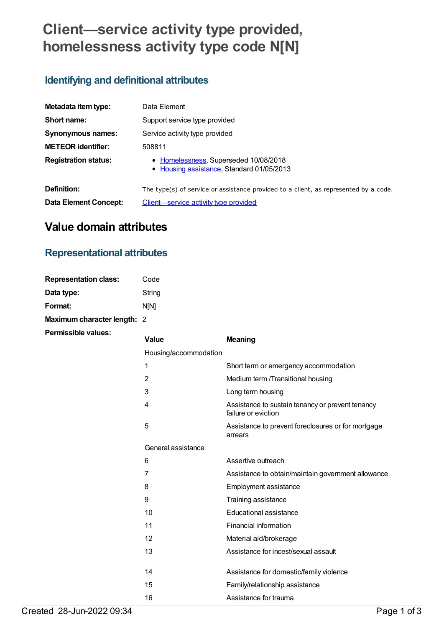# **Client—service activity type provided, homelessness activity type code N[N]**

#### **Identifying and definitional attributes**

| Metadata item type:         | Data Element                                                                         |  |
|-----------------------------|--------------------------------------------------------------------------------------|--|
| Short name:                 | Support service type provided                                                        |  |
| Synonymous names:           | Service activity type provided                                                       |  |
| <b>METEOR identifier:</b>   | 508811                                                                               |  |
| <b>Registration status:</b> | • Homelessness, Superseded 10/08/2018<br>• Housing assistance, Standard 01/05/2013   |  |
| Definition:                 | The type(s) of service or assistance provided to a client, as represented by a code. |  |
| Data Element Concept:       | Client—service activity type provided                                                |  |

## **Value domain attributes**

## **Representational attributes**

| <b>Representation class:</b> | Code   |
|------------------------------|--------|
| Data type:                   | String |
| Format:                      | nini   |
| Maximum character length: 2  |        |
| <b>Permissible values:</b>   |        |

| <b>Value</b>          | <b>Meaning</b>                                                          |
|-----------------------|-------------------------------------------------------------------------|
| Housing/accommodation |                                                                         |
| 1                     | Short term or emergency accommodation                                   |
| $\overline{2}$        | Medium term /Transitional housing                                       |
| 3                     | Long term housing                                                       |
| 4                     | Assistance to sustain tenancy or prevent tenancy<br>failure or eviction |
| 5                     | Assistance to prevent foreclosures or for mortgage<br>arrears           |
| General assistance    |                                                                         |
| 6                     | Assertive outreach                                                      |
| 7                     | Assistance to obtain/maintain government allowance                      |
| 8                     | <b>Employment assistance</b>                                            |
| 9                     | Training assistance                                                     |
| 10                    | Educational assistance                                                  |
| 11                    | Financial information                                                   |
| 12                    | Material aid/brokerage                                                  |
| 13                    | Assistance for incest/sexual assault                                    |
| 14                    |                                                                         |
|                       | Assistance for domestic/family violence                                 |
| 15                    | Family/relationship assistance                                          |
| 16                    | Assistance for trauma                                                   |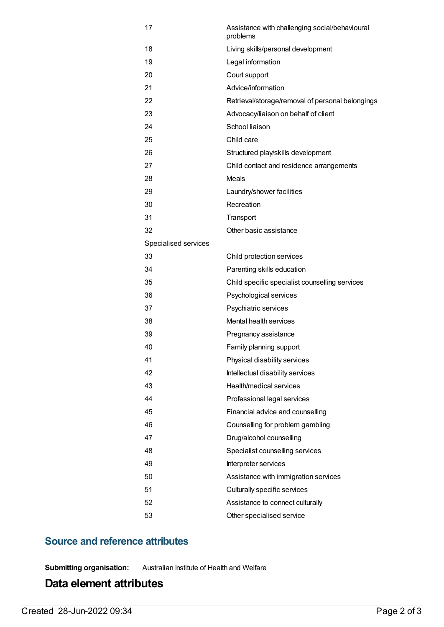| 17                   | Assistance with challenging social/behavioural<br>problems |
|----------------------|------------------------------------------------------------|
| 18                   | Living skills/personal development                         |
| 19                   | Legal information                                          |
| 20                   | Court support                                              |
| 21                   | Advice/information                                         |
| 22                   | Retrieval/storage/removal of personal belongings           |
| 23                   | Advocacy/liaison on behalf of client                       |
| 24                   | School liaison                                             |
| 25                   | Child care                                                 |
| 26                   | Structured play/skills development                         |
| 27                   | Child contact and residence arrangements                   |
| 28                   | Meals                                                      |
| 29                   | Laundry/shower facilities                                  |
| 30                   | Recreation                                                 |
| 31                   | Transport                                                  |
| 32                   | Other basic assistance                                     |
| Specialised services |                                                            |
| 33                   | Child protection services                                  |
| 34                   | Parenting skills education                                 |
| 35                   | Child specific specialist counselling services             |
| 36                   | Psychological services                                     |
| 37                   | Psychiatric services                                       |
| 38                   | Mental health services                                     |
| 39                   | Pregnancy assistance                                       |
| 40                   | Family planning support                                    |
| 41                   | Physical disability services                               |
| 42                   | Intellectual disability services                           |
| 43                   | Health/medical services                                    |
| 44                   | Professional legal services                                |
| 45                   | Financial advice and counselling                           |
| 46                   | Counselling for problem gambling                           |
| 47                   | Drug/alcohol counselling                                   |
| 48                   | Specialist counselling services                            |
| 49                   | Interpreter services                                       |
| 50                   | Assistance with immigration services                       |
| 51                   | Culturally specific services                               |
| 52                   | Assistance to connect culturally                           |
| 53                   | Other specialised service                                  |

#### **Source and reference attributes**

**Submitting organisation:** Australian Institute of Health and Welfare

### **Data element attributes**